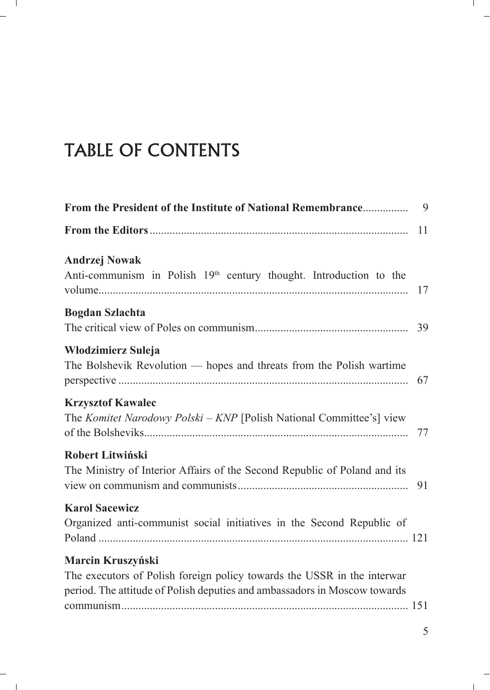## TABLE OF CONTENTS

|                                                                                                                                                                           | 11 |
|---------------------------------------------------------------------------------------------------------------------------------------------------------------------------|----|
| <b>Andrzej Nowak</b><br>Anti-communism in Polish 19 <sup>th</sup> century thought. Introduction to the                                                                    | 17 |
| <b>Bogdan Szlachta</b>                                                                                                                                                    |    |
| Włodzimierz Suleja<br>The Bolshevik Revolution — hopes and threats from the Polish wartime                                                                                | 67 |
| <b>Krzysztof Kawalec</b><br>The Komitet Narodowy Polski - KNP [Polish National Committee's] view                                                                          | 77 |
| Robert Litwiński<br>The Ministry of Interior Affairs of the Second Republic of Poland and its                                                                             | 91 |
| <b>Karol Sacewicz</b><br>Organized anti-communist social initiatives in the Second Republic of                                                                            |    |
| Marcin Kruszyński<br>The executors of Polish foreign policy towards the USSR in the interwar<br>period. The attitude of Polish deputies and ambassadors in Moscow towards |    |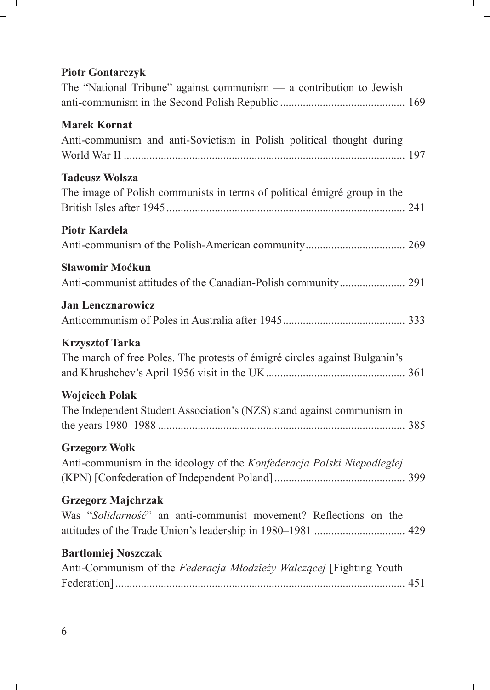## **Piotr Gontarczyk**

| The "National Tribune" against communism $-$ a contribution to Jewish                                |  |
|------------------------------------------------------------------------------------------------------|--|
| <b>Marek Kornat</b><br>Anti-communism and anti-Sovietism in Polish political thought during          |  |
| <b>Tadeusz Wolsza</b><br>The image of Polish communists in terms of political émigré group in the    |  |
| <b>Piotr Kardela</b>                                                                                 |  |
| Sławomir Moćkun                                                                                      |  |
| <b>Jan Lencznarowicz</b>                                                                             |  |
| <b>Krzysztof Tarka</b><br>The march of free Poles. The protests of émigré circles against Bulganin's |  |
| <b>Wojciech Polak</b><br>The Independent Student Association's (NZS) stand against communism in      |  |
| <b>Grzegorz Wołk</b><br>Anti-communism in the ideology of the Konfederacja Polski Niepodległej       |  |
| <b>Grzegorz Majchrzak</b><br>Was "Solidarność" an anti-communist movement? Reflections on the        |  |
| <b>Bartłomiej Noszczak</b><br>Anti-Communism of the Federacja Młodzieży Walczącej [Fighting Youth    |  |